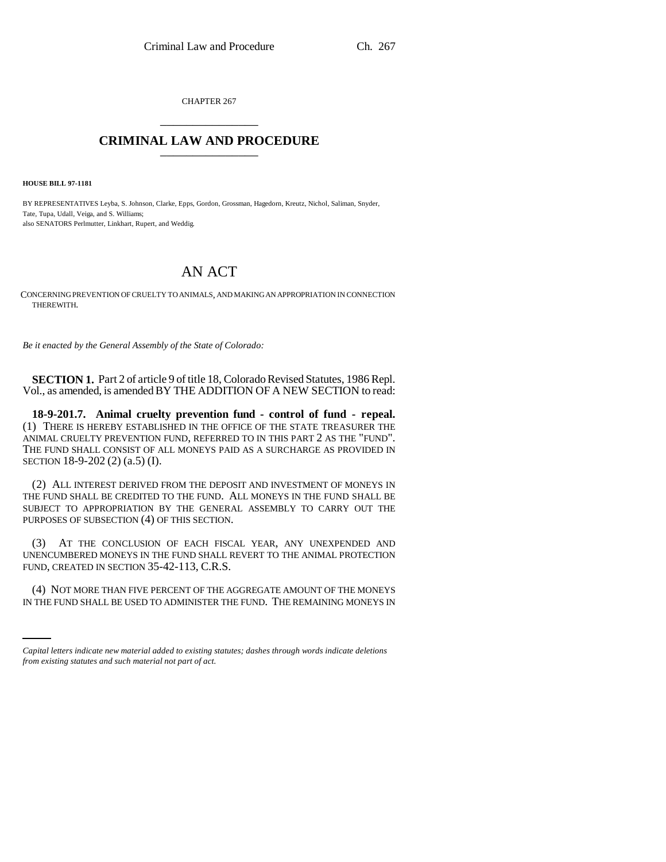CHAPTER 267 \_\_\_\_\_\_\_\_\_\_\_\_\_\_\_

## **CRIMINAL LAW AND PROCEDURE** \_\_\_\_\_\_\_\_\_\_\_\_\_\_\_

**HOUSE BILL 97-1181**

BY REPRESENTATIVES Leyba, S. Johnson, Clarke, Epps, Gordon, Grossman, Hagedorn, Kreutz, Nichol, Saliman, Snyder, Tate, Tupa, Udall, Veiga, and S. Williams; also SENATORS Perlmutter, Linkhart, Rupert, and Weddig.

## AN ACT

CONCERNING PREVENTION OF CRUELTY TO ANIMALS, AND MAKING AN APPROPRIATION IN CONNECTION THEREWITH.

*Be it enacted by the General Assembly of the State of Colorado:*

**SECTION 1.** Part 2 of article 9 of title 18, Colorado Revised Statutes, 1986 Repl. Vol., as amended, is amended BY THE ADDITION OF A NEW SECTION to read:

**18-9-201.7. Animal cruelty prevention fund - control of fund - repeal.** (1) THERE IS HEREBY ESTABLISHED IN THE OFFICE OF THE STATE TREASURER THE ANIMAL CRUELTY PREVENTION FUND, REFERRED TO IN THIS PART 2 AS THE "FUND". THE FUND SHALL CONSIST OF ALL MONEYS PAID AS A SURCHARGE AS PROVIDED IN SECTION 18-9-202 (2) (a.5) (I).

(2) ALL INTEREST DERIVED FROM THE DEPOSIT AND INVESTMENT OF MONEYS IN THE FUND SHALL BE CREDITED TO THE FUND. ALL MONEYS IN THE FUND SHALL BE SUBJECT TO APPROPRIATION BY THE GENERAL ASSEMBLY TO CARRY OUT THE PURPOSES OF SUBSECTION (4) OF THIS SECTION.

(3) AT THE CONCLUSION OF EACH FISCAL YEAR, ANY UNEXPENDED AND UNENCUMBERED MONEYS IN THE FUND SHALL REVERT TO THE ANIMAL PROTECTION FUND, CREATED IN SECTION 35-42-113, C.R.S.

(4) NOT MORE THAN FIVE PERCENT OF THE AGGREGATE AMOUNT OF THE MONEYS IN THE FUND SHALL BE USED TO ADMINISTER THE FUND. THE REMAINING MONEYS IN

*Capital letters indicate new material added to existing statutes; dashes through words indicate deletions from existing statutes and such material not part of act.*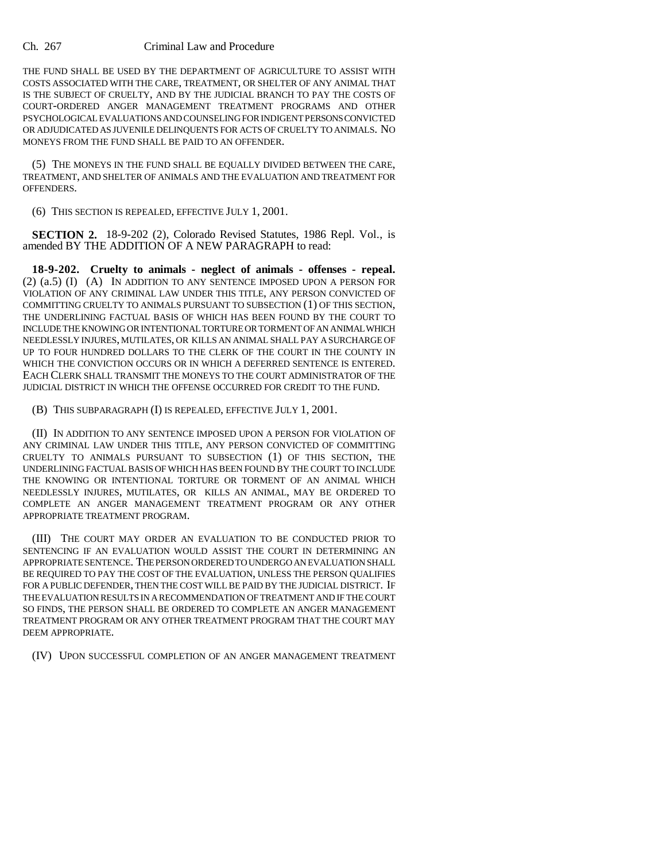## Ch. 267 Criminal Law and Procedure

THE FUND SHALL BE USED BY THE DEPARTMENT OF AGRICULTURE TO ASSIST WITH COSTS ASSOCIATED WITH THE CARE, TREATMENT, OR SHELTER OF ANY ANIMAL THAT IS THE SUBJECT OF CRUELTY, AND BY THE JUDICIAL BRANCH TO PAY THE COSTS OF COURT-ORDERED ANGER MANAGEMENT TREATMENT PROGRAMS AND OTHER PSYCHOLOGICAL EVALUATIONS AND COUNSELING FOR INDIGENT PERSONS CONVICTED OR ADJUDICATED AS JUVENILE DELINQUENTS FOR ACTS OF CRUELTY TO ANIMALS. NO MONEYS FROM THE FUND SHALL BE PAID TO AN OFFENDER.

(5) THE MONEYS IN THE FUND SHALL BE EQUALLY DIVIDED BETWEEN THE CARE, TREATMENT, AND SHELTER OF ANIMALS AND THE EVALUATION AND TREATMENT FOR OFFENDERS.

(6) THIS SECTION IS REPEALED, EFFECTIVE JULY 1, 2001.

**SECTION 2.** 18-9-202 (2), Colorado Revised Statutes, 1986 Repl. Vol., is amended BY THE ADDITION OF A NEW PARAGRAPH to read:

**18-9-202. Cruelty to animals - neglect of animals - offenses - repeal.** (2) (a.5) (I) (A) IN ADDITION TO ANY SENTENCE IMPOSED UPON A PERSON FOR VIOLATION OF ANY CRIMINAL LAW UNDER THIS TITLE, ANY PERSON CONVICTED OF COMMITTING CRUELTY TO ANIMALS PURSUANT TO SUBSECTION (1) OF THIS SECTION, THE UNDERLINING FACTUAL BASIS OF WHICH HAS BEEN FOUND BY THE COURT TO INCLUDE THE KNOWING OR INTENTIONAL TORTURE OR TORMENT OF AN ANIMAL WHICH NEEDLESSLY INJURES, MUTILATES, OR KILLS AN ANIMAL SHALL PAY A SURCHARGE OF UP TO FOUR HUNDRED DOLLARS TO THE CLERK OF THE COURT IN THE COUNTY IN WHICH THE CONVICTION OCCURS OR IN WHICH A DEFERRED SENTENCE IS ENTERED. EACH CLERK SHALL TRANSMIT THE MONEYS TO THE COURT ADMINISTRATOR OF THE JUDICIAL DISTRICT IN WHICH THE OFFENSE OCCURRED FOR CREDIT TO THE FUND.

(B) THIS SUBPARAGRAPH (I) IS REPEALED, EFFECTIVE JULY 1, 2001.

(II) IN ADDITION TO ANY SENTENCE IMPOSED UPON A PERSON FOR VIOLATION OF ANY CRIMINAL LAW UNDER THIS TITLE, ANY PERSON CONVICTED OF COMMITTING CRUELTY TO ANIMALS PURSUANT TO SUBSECTION (1) OF THIS SECTION, THE UNDERLINING FACTUAL BASIS OF WHICH HAS BEEN FOUND BY THE COURT TO INCLUDE THE KNOWING OR INTENTIONAL TORTURE OR TORMENT OF AN ANIMAL WHICH NEEDLESSLY INJURES, MUTILATES, OR KILLS AN ANIMAL, MAY BE ORDERED TO COMPLETE AN ANGER MANAGEMENT TREATMENT PROGRAM OR ANY OTHER APPROPRIATE TREATMENT PROGRAM.

(III) THE COURT MAY ORDER AN EVALUATION TO BE CONDUCTED PRIOR TO SENTENCING IF AN EVALUATION WOULD ASSIST THE COURT IN DETERMINING AN APPROPRIATE SENTENCE. THE PERSON ORDERED TO UNDERGO AN EVALUATION SHALL BE REQUIRED TO PAY THE COST OF THE EVALUATION, UNLESS THE PERSON QUALIFIES FOR A PUBLIC DEFENDER, THEN THE COST WILL BE PAID BY THE JUDICIAL DISTRICT. IF THE EVALUATION RESULTS IN A RECOMMENDATION OF TREATMENT AND IF THE COURT SO FINDS, THE PERSON SHALL BE ORDERED TO COMPLETE AN ANGER MANAGEMENT TREATMENT PROGRAM OR ANY OTHER TREATMENT PROGRAM THAT THE COURT MAY DEEM APPROPRIATE.

(IV) UPON SUCCESSFUL COMPLETION OF AN ANGER MANAGEMENT TREATMENT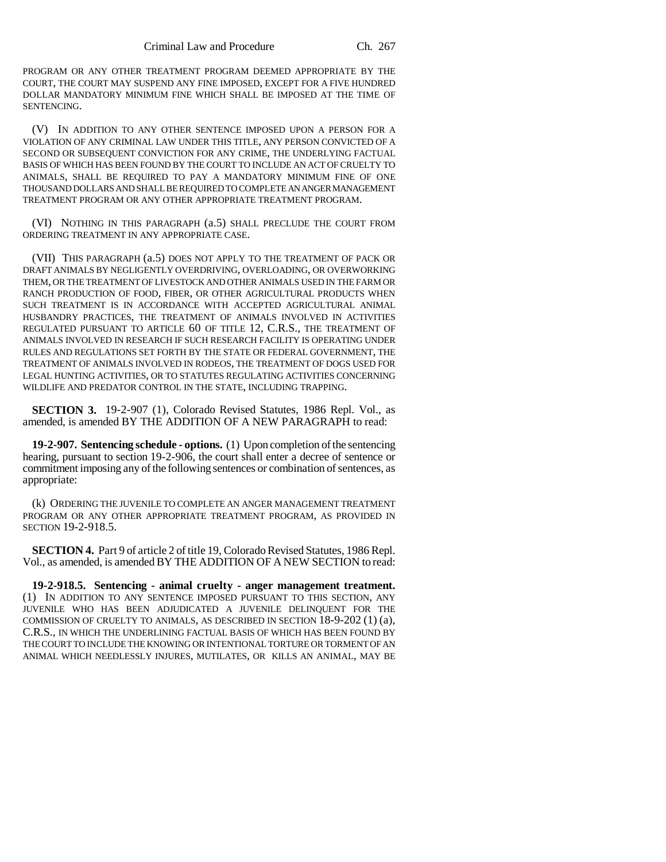PROGRAM OR ANY OTHER TREATMENT PROGRAM DEEMED APPROPRIATE BY THE COURT, THE COURT MAY SUSPEND ANY FINE IMPOSED, EXCEPT FOR A FIVE HUNDRED DOLLAR MANDATORY MINIMUM FINE WHICH SHALL BE IMPOSED AT THE TIME OF SENTENCING.

(V) IN ADDITION TO ANY OTHER SENTENCE IMPOSED UPON A PERSON FOR A VIOLATION OF ANY CRIMINAL LAW UNDER THIS TITLE, ANY PERSON CONVICTED OF A SECOND OR SUBSEQUENT CONVICTION FOR ANY CRIME, THE UNDERLYING FACTUAL BASIS OF WHICH HAS BEEN FOUND BY THE COURT TO INCLUDE AN ACT OF CRUELTY TO ANIMALS, SHALL BE REQUIRED TO PAY A MANDATORY MINIMUM FINE OF ONE THOUSAND DOLLARS AND SHALL BE REQUIRED TO COMPLETE AN ANGER MANAGEMENT TREATMENT PROGRAM OR ANY OTHER APPROPRIATE TREATMENT PROGRAM.

(VI) NOTHING IN THIS PARAGRAPH (a.5) SHALL PRECLUDE THE COURT FROM ORDERING TREATMENT IN ANY APPROPRIATE CASE.

(VII) THIS PARAGRAPH (a.5) DOES NOT APPLY TO THE TREATMENT OF PACK OR DRAFT ANIMALS BY NEGLIGENTLY OVERDRIVING, OVERLOADING, OR OVERWORKING THEM, OR THE TREATMENT OF LIVESTOCK AND OTHER ANIMALS USED IN THE FARM OR RANCH PRODUCTION OF FOOD, FIBER, OR OTHER AGRICULTURAL PRODUCTS WHEN SUCH TREATMENT IS IN ACCORDANCE WITH ACCEPTED AGRICULTURAL ANIMAL HUSBANDRY PRACTICES, THE TREATMENT OF ANIMALS INVOLVED IN ACTIVITIES REGULATED PURSUANT TO ARTICLE 60 OF TITLE 12, C.R.S., THE TREATMENT OF ANIMALS INVOLVED IN RESEARCH IF SUCH RESEARCH FACILITY IS OPERATING UNDER RULES AND REGULATIONS SET FORTH BY THE STATE OR FEDERAL GOVERNMENT, THE TREATMENT OF ANIMALS INVOLVED IN RODEOS, THE TREATMENT OF DOGS USED FOR LEGAL HUNTING ACTIVITIES, OR TO STATUTES REGULATING ACTIVITIES CONCERNING WILDLIFE AND PREDATOR CONTROL IN THE STATE, INCLUDING TRAPPING.

**SECTION 3.** 19-2-907 (1), Colorado Revised Statutes, 1986 Repl. Vol., as amended, is amended BY THE ADDITION OF A NEW PARAGRAPH to read:

**19-2-907. Sentencing schedule - options.** (1) Upon completion of the sentencing hearing, pursuant to section 19-2-906, the court shall enter a decree of sentence or commitment imposing any of the following sentences or combination of sentences, as appropriate:

(k) ORDERING THE JUVENILE TO COMPLETE AN ANGER MANAGEMENT TREATMENT PROGRAM OR ANY OTHER APPROPRIATE TREATMENT PROGRAM, AS PROVIDED IN SECTION 19-2-918.5.

**SECTION 4.** Part 9 of article 2 of title 19, Colorado Revised Statutes, 1986 Repl. Vol., as amended, is amended BY THE ADDITION OF A NEW SECTION to read:

**19-2-918.5. Sentencing - animal cruelty - anger management treatment.** (1) IN ADDITION TO ANY SENTENCE IMPOSED PURSUANT TO THIS SECTION, ANY JUVENILE WHO HAS BEEN ADJUDICATED A JUVENILE DELINQUENT FOR THE COMMISSION OF CRUELTY TO ANIMALS, AS DESCRIBED IN SECTION  $18-9-202(1)(a)$ , C.R.S., IN WHICH THE UNDERLINING FACTUAL BASIS OF WHICH HAS BEEN FOUND BY THE COURT TO INCLUDE THE KNOWING OR INTENTIONAL TORTURE OR TORMENT OF AN ANIMAL WHICH NEEDLESSLY INJURES, MUTILATES, OR KILLS AN ANIMAL, MAY BE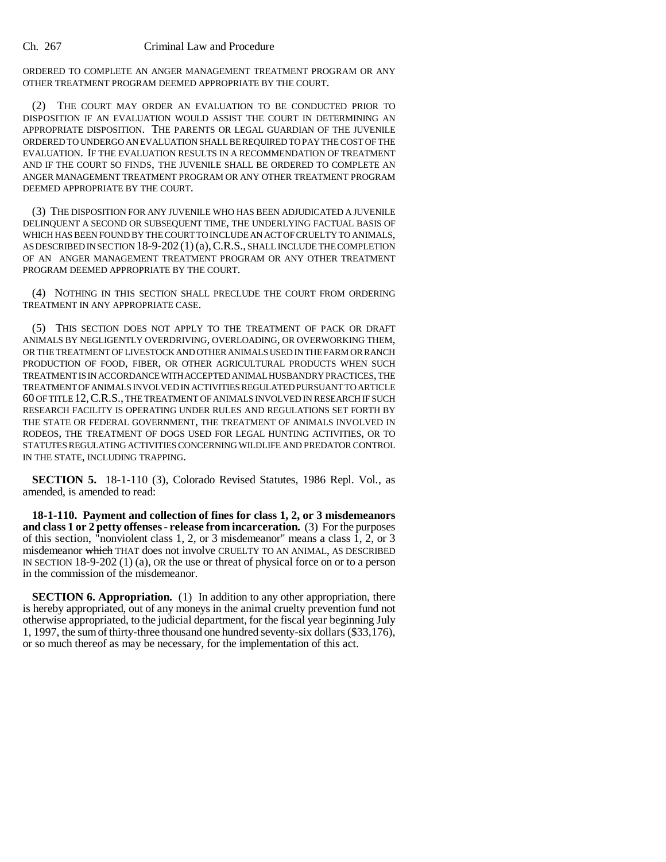ORDERED TO COMPLETE AN ANGER MANAGEMENT TREATMENT PROGRAM OR ANY OTHER TREATMENT PROGRAM DEEMED APPROPRIATE BY THE COURT.

(2) THE COURT MAY ORDER AN EVALUATION TO BE CONDUCTED PRIOR TO DISPOSITION IF AN EVALUATION WOULD ASSIST THE COURT IN DETERMINING AN APPROPRIATE DISPOSITION. THE PARENTS OR LEGAL GUARDIAN OF THE JUVENILE ORDERED TO UNDERGO AN EVALUATION SHALL BE REQUIRED TO PAY THE COST OF THE EVALUATION. IF THE EVALUATION RESULTS IN A RECOMMENDATION OF TREATMENT AND IF THE COURT SO FINDS, THE JUVENILE SHALL BE ORDERED TO COMPLETE AN ANGER MANAGEMENT TREATMENT PROGRAM OR ANY OTHER TREATMENT PROGRAM DEEMED APPROPRIATE BY THE COURT.

(3) THE DISPOSITION FOR ANY JUVENILE WHO HAS BEEN ADJUDICATED A JUVENILE DELINQUENT A SECOND OR SUBSEQUENT TIME, THE UNDERLYING FACTUAL BASIS OF WHICH HAS BEEN FOUND BY THE COURT TO INCLUDE AN ACT OF CRUELTY TO ANIMALS, AS DESCRIBED IN SECTION 18-9-202 (1)(a), C.R.S., SHALL INCLUDE THE COMPLETION OF AN ANGER MANAGEMENT TREATMENT PROGRAM OR ANY OTHER TREATMENT PROGRAM DEEMED APPROPRIATE BY THE COURT.

(4) NOTHING IN THIS SECTION SHALL PRECLUDE THE COURT FROM ORDERING TREATMENT IN ANY APPROPRIATE CASE.

(5) THIS SECTION DOES NOT APPLY TO THE TREATMENT OF PACK OR DRAFT ANIMALS BY NEGLIGENTLY OVERDRIVING, OVERLOADING, OR OVERWORKING THEM, OR THE TREATMENT OF LIVESTOCK AND OTHER ANIMALS USED IN THE FARM OR RANCH PRODUCTION OF FOOD, FIBER, OR OTHER AGRICULTURAL PRODUCTS WHEN SUCH TREATMENT IS IN ACCORDANCE WITH ACCEPTED ANIMAL HUSBANDRY PRACTICES, THE TREATMENT OF ANIMALS INVOLVED IN ACTIVITIES REGULATED PURSUANT TO ARTICLE 60 OF TITLE 12,C.R.S., THE TREATMENT OF ANIMALS INVOLVED IN RESEARCH IF SUCH RESEARCH FACILITY IS OPERATING UNDER RULES AND REGULATIONS SET FORTH BY THE STATE OR FEDERAL GOVERNMENT, THE TREATMENT OF ANIMALS INVOLVED IN RODEOS, THE TREATMENT OF DOGS USED FOR LEGAL HUNTING ACTIVITIES, OR TO STATUTES REGULATING ACTIVITIES CONCERNING WILDLIFE AND PREDATOR CONTROL IN THE STATE, INCLUDING TRAPPING.

**SECTION 5.** 18-1-110 (3), Colorado Revised Statutes, 1986 Repl. Vol., as amended, is amended to read:

**18-1-110. Payment and collection of fines for class 1, 2, or 3 misdemeanors and class 1 or 2 petty offenses - release from incarceration.** (3) For the purposes of this section, "nonviolent class 1, 2, or 3 misdemeanor" means a class  $\hat{1}$ ,  $\hat{2}$ , or 3 misdemeanor which THAT does not involve CRUELTY TO AN ANIMAL, AS DESCRIBED IN SECTION 18-9-202 (1) (a), OR the use or threat of physical force on or to a person in the commission of the misdemeanor.

**SECTION 6. Appropriation.** (1) In addition to any other appropriation, there is hereby appropriated, out of any moneys in the animal cruelty prevention fund not otherwise appropriated, to the judicial department, for the fiscal year beginning July 1, 1997, the sum of thirty-three thousand one hundred seventy-six dollars (\$33,176), or so much thereof as may be necessary, for the implementation of this act.